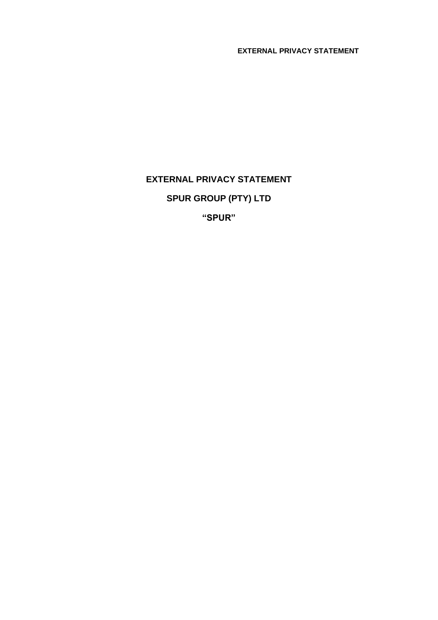**EXTERNAL PRIVACY STATEMENT**

# **EXTERNAL PRIVACY STATEMENT SPUR GROUP (PTY) LTD**

**"SPUR"**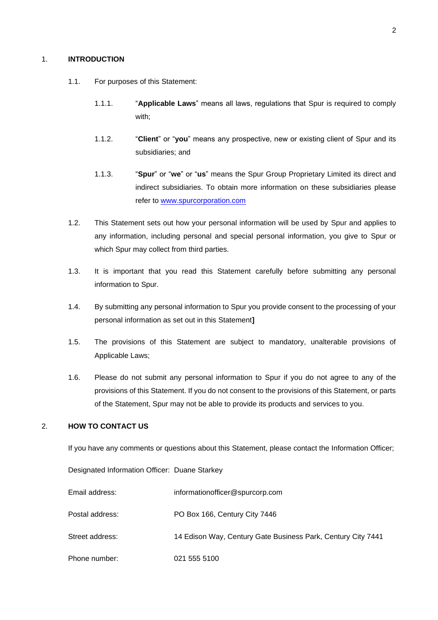# 1. **INTRODUCTION**

- 1.1. For purposes of this Statement:
	- 1.1.1. "**Applicable Laws**" means all laws, regulations that Spur is required to comply with;
	- 1.1.2. "**Client**" or "**you**" means any prospective, new or existing client of Spur and its subsidiaries; and
	- 1.1.3. "**Spur**" or "**we**" or "**us**" means the Spur Group Proprietary Limited its direct and indirect subsidiaries. To obtain more information on these subsidiaries please refer to [www.spurcorporation.com](http://www.spurcorporation.com/)
- 1.2. This Statement sets out how your personal information will be used by Spur and applies to any information, including personal and special personal information, you give to Spur or which Spur may collect from third parties.
- 1.3. It is important that you read this Statement carefully before submitting any personal information to Spur.
- 1.4. By submitting any personal information to Spur you provide consent to the processing of your personal information as set out in this Statement**]**
- 1.5. The provisions of this Statement are subject to mandatory, unalterable provisions of Applicable Laws;
- 1.6. Please do not submit any personal information to Spur if you do not agree to any of the provisions of this Statement. If you do not consent to the provisions of this Statement, or parts of the Statement, Spur may not be able to provide its products and services to you.

# 2. **HOW TO CONTACT US**

If you have any comments or questions about this Statement, please contact the Information Officer;

Designated Information Officer: Duane Starkey

| Email address:  | information officer@spurcorp.com                             |
|-----------------|--------------------------------------------------------------|
| Postal address: | PO Box 166, Century City 7446                                |
| Street address: | 14 Edison Way, Century Gate Business Park, Century City 7441 |
| Phone number:   | 021 555 5100                                                 |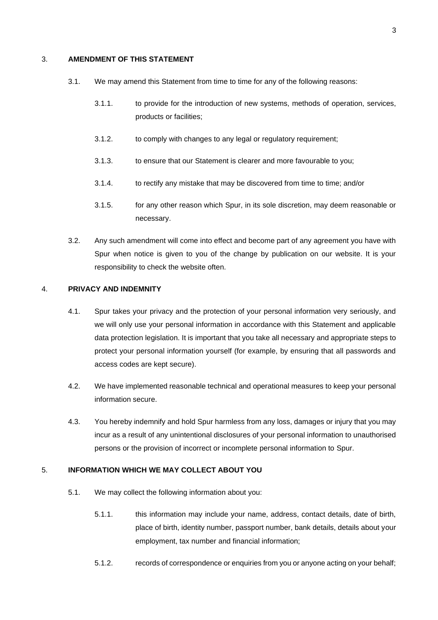# 3. **AMENDMENT OF THIS STATEMENT**

- 3.1. We may amend this Statement from time to time for any of the following reasons:
	- 3.1.1. to provide for the introduction of new systems, methods of operation, services, products or facilities;
	- 3.1.2. to comply with changes to any legal or regulatory requirement;
	- 3.1.3. to ensure that our Statement is clearer and more favourable to you;
	- 3.1.4. to rectify any mistake that may be discovered from time to time; and/or
	- 3.1.5. for any other reason which Spur, in its sole discretion, may deem reasonable or necessary.
- 3.2. Any such amendment will come into effect and become part of any agreement you have with Spur when notice is given to you of the change by publication on our website. It is your responsibility to check the website often.

#### 4. **PRIVACY AND INDEMNITY**

- 4.1. Spur takes your privacy and the protection of your personal information very seriously, and we will only use your personal information in accordance with this Statement and applicable data protection legislation. It is important that you take all necessary and appropriate steps to protect your personal information yourself (for example, by ensuring that all passwords and access codes are kept secure).
- 4.2. We have implemented reasonable technical and operational measures to keep your personal information secure.
- 4.3. You hereby indemnify and hold Spur harmless from any loss, damages or injury that you may incur as a result of any unintentional disclosures of your personal information to unauthorised persons or the provision of incorrect or incomplete personal information to Spur.

# 5. **INFORMATION WHICH WE MAY COLLECT ABOUT YOU**

- 5.1. We may collect the following information about you:
	- 5.1.1. this information may include your name, address, contact details, date of birth, place of birth, identity number, passport number, bank details, details about your employment, tax number and financial information;
	- 5.1.2. records of correspondence or enquiries from you or anyone acting on your behalf;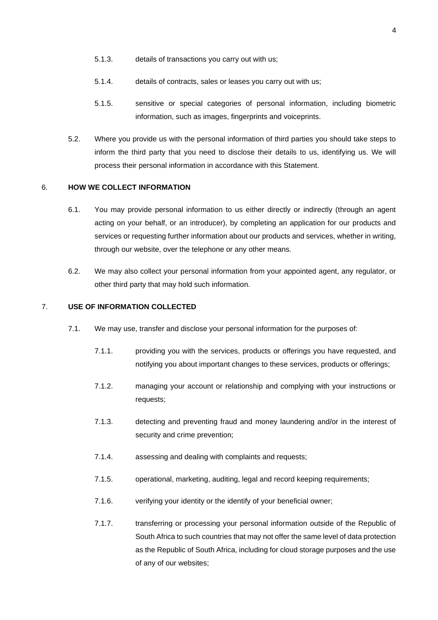- 5.1.3. details of transactions you carry out with us;
- 5.1.4. details of contracts, sales or leases you carry out with us;
- 5.1.5. sensitive or special categories of personal information, including biometric information, such as images, fingerprints and voiceprints.
- 5.2. Where you provide us with the personal information of third parties you should take steps to inform the third party that you need to disclose their details to us, identifying us. We will process their personal information in accordance with this Statement.

#### 6. **HOW WE COLLECT INFORMATION**

- 6.1. You may provide personal information to us either directly or indirectly (through an agent acting on your behalf, or an introducer), by completing an application for our products and services or requesting further information about our products and services, whether in writing, through our website, over the telephone or any other means.
- 6.2. We may also collect your personal information from your appointed agent, any regulator, or other third party that may hold such information.

# 7. **USE OF INFORMATION COLLECTED**

- 7.1. We may use, transfer and disclose your personal information for the purposes of:
	- 7.1.1. providing you with the services, products or offerings you have requested, and notifying you about important changes to these services, products or offerings;
	- 7.1.2. managing your account or relationship and complying with your instructions or requests;
	- 7.1.3. detecting and preventing fraud and money laundering and/or in the interest of security and crime prevention:
	- 7.1.4. assessing and dealing with complaints and requests;
	- 7.1.5. operational, marketing, auditing, legal and record keeping requirements;
	- 7.1.6. verifying your identity or the identify of your beneficial owner;
	- 7.1.7. transferring or processing your personal information outside of the Republic of South Africa to such countries that may not offer the same level of data protection as the Republic of South Africa, including for cloud storage purposes and the use of any of our websites;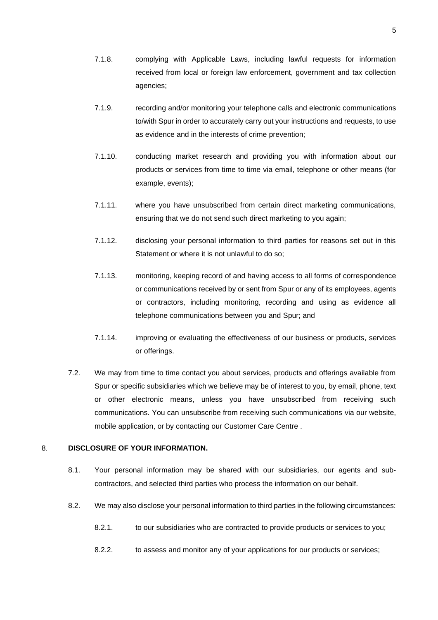- 7.1.9. recording and/or monitoring your telephone calls and electronic communications to/with Spur in order to accurately carry out your instructions and requests, to use as evidence and in the interests of crime prevention;
- 7.1.10. conducting market research and providing you with information about our products or services from time to time via email, telephone or other means (for example, events);
- 7.1.11. where you have unsubscribed from certain direct marketing communications, ensuring that we do not send such direct marketing to you again;
- 7.1.12. disclosing your personal information to third parties for reasons set out in this Statement or where it is not unlawful to do so;
- 7.1.13. monitoring, keeping record of and having access to all forms of correspondence or communications received by or sent from Spur or any of its employees, agents or contractors, including monitoring, recording and using as evidence all telephone communications between you and Spur; and
- 7.1.14. improving or evaluating the effectiveness of our business or products, services or offerings.
- 7.2. We may from time to time contact you about services, products and offerings available from Spur or specific subsidiaries which we believe may be of interest to you, by email, phone, text or other electronic means, unless you have unsubscribed from receiving such communications. You can unsubscribe from receiving such communications via our website, mobile application, or by contacting our Customer Care Centre .

# 8. **DISCLOSURE OF YOUR INFORMATION.**

- 8.1. Your personal information may be shared with our subsidiaries, our agents and subcontractors, and selected third parties who process the information on our behalf.
- 8.2. We may also disclose your personal information to third parties in the following circumstances:
	- 8.2.1. to our subsidiaries who are contracted to provide products or services to you;
	- 8.2.2. to assess and monitor any of your applications for our products or services;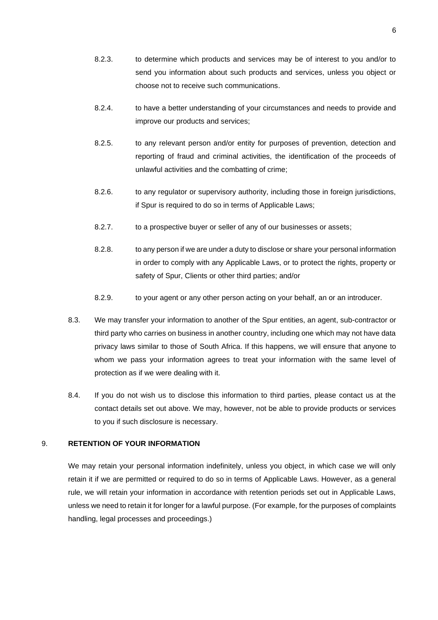- 8.2.3. to determine which products and services may be of interest to you and/or to send you information about such products and services, unless you object or choose not to receive such communications.
- 8.2.4. to have a better understanding of your circumstances and needs to provide and improve our products and services;
- 8.2.5. to any relevant person and/or entity for purposes of prevention, detection and reporting of fraud and criminal activities, the identification of the proceeds of unlawful activities and the combatting of crime;
- 8.2.6. to any regulator or supervisory authority, including those in foreign jurisdictions, if Spur is required to do so in terms of Applicable Laws;
- 8.2.7. to a prospective buyer or seller of any of our businesses or assets;
- 8.2.8. to any person if we are under a duty to disclose or share your personal information in order to comply with any Applicable Laws, or to protect the rights, property or safety of Spur, Clients or other third parties; and/or
- 8.2.9. to your agent or any other person acting on your behalf, an or an introducer.
- 8.3. We may transfer your information to another of the Spur entities, an agent, sub-contractor or third party who carries on business in another country, including one which may not have data privacy laws similar to those of South Africa. If this happens, we will ensure that anyone to whom we pass your information agrees to treat your information with the same level of protection as if we were dealing with it.
- 8.4. If you do not wish us to disclose this information to third parties, please contact us at the contact details set out above. We may, however, not be able to provide products or services to you if such disclosure is necessary.

# 9. **RETENTION OF YOUR INFORMATION**

We may retain your personal information indefinitely, unless you object, in which case we will only retain it if we are permitted or required to do so in terms of Applicable Laws. However, as a general rule, we will retain your information in accordance with retention periods set out in Applicable Laws, unless we need to retain it for longer for a lawful purpose. (For example, for the purposes of complaints handling, legal processes and proceedings.)